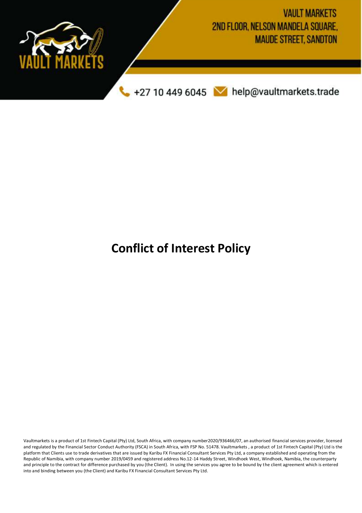

# **Conflict of Interest Policy**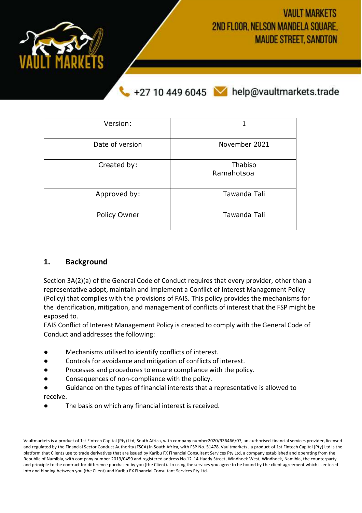**VAULT MARKETS** 2ND FLOOR, NELSON MANDELA SQUARE. **MAUDE STREET, SANDTON** 



+27 10 449 6045 M help@vaultmarkets.trade

| Version:        |                       |
|-----------------|-----------------------|
| Date of version | November 2021         |
| Created by:     | Thabiso<br>Ramahotsoa |
| Approved by:    | Tawanda Tali          |
| Policy Owner    | Tawanda Tali          |

## **1. Background**

Section 3A(2)(a) of the General Code of Conduct requires that every provider, other than a representative adopt, maintain and implement a Conflict of Interest Management Policy (Policy) that complies with the provisions of FAIS. This policy provides the mechanisms for the identification, mitigation, and management of conflicts of interest that the FSP might be exposed to.

FAIS Conflict of Interest Management Policy is created to comply with the General Code of Conduct and addresses the following:

- Mechanisms utilised to identify conflicts of interest.
- Controls for avoidance and mitigation of conflicts of interest.
- Processes and procedures to ensure compliance with the policy.
- Consequences of non-compliance with the policy.
- Guidance on the types of financial interests that a representative is allowed to receive.
- The basis on which any financial interest is received.

Vaultmarkets is a product of 1st Fintech Capital (Pty) Ltd, South Africa, with company number2020/936466/07, an authorised financial services provider, licensed and regulated by the Financial Sector Conduct Authority (FSCA) in South Africa, with FSP No. 51478. Vaultmarkets , a product of 1st Fintech Capital (Pty) Ltd is the platform that Clients use to trade derivatives that are issued by Karibu FX Financial Consultant Services Pty Ltd, a company established and operating from the Republic of Namibia, with company number 2019/0459 and registered address No.12-14 Haddy Street, Windhoek West, Windhoek, Namibia, the counterparty and principle to the contract for difference purchased by you (the Client). In using the services you agree to be bound by the client agreement which is entered into and binding between you (the Client) and Karibu FX Financial Consultant Services Pty Ltd.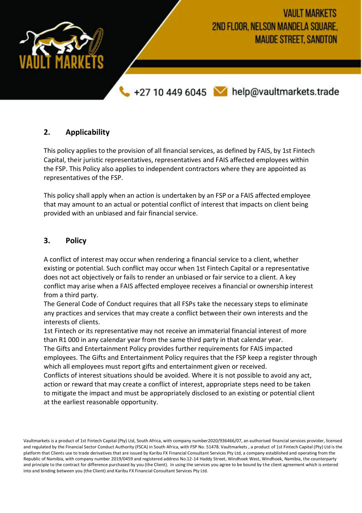

## **2. Applicability**

This policy applies to the provision of all financial services, as defined by FAIS, by 1st Fintech Capital, their juristic representatives, representatives and FAIS affected employees within the FSP. This Policy also applies to independent contractors where they are appointed as representatives of the FSP.

This policy shall apply when an action is undertaken by an FSP or a FAIS affected employee that may amount to an actual or potential conflict of interest that impacts on client being provided with an unbiased and fair financial service.

## **3. Policy**

A conflict of interest may occur when rendering a financial service to a client, whether existing or potential. Such conflict may occur when 1st Fintech Capital or a representative does not act objectively or fails to render an unbiased or fair service to a client. A key conflict may arise when a FAIS affected employee receives a financial or ownership interest from a third party.

The General Code of Conduct requires that all FSPs take the necessary steps to eliminate any practices and services that may create a conflict between their own interests and the interests of clients.

1st Fintech or its representative may not receive an immaterial financial interest of more than R1 000 in any calendar year from the same third party in that calendar year. The Gifts and Entertainment Policy provides further requirements for FAIS impacted employees. The Gifts and Entertainment Policy requires that the FSP keep a register through which all employees must report gifts and entertainment given or received.

Conflicts of interest situations should be avoided. Where it is not possible to avoid any act, action or reward that may create a conflict of interest, appropriate steps need to be taken to mitigate the impact and must be appropriately disclosed to an existing or potential client at the earliest reasonable opportunity.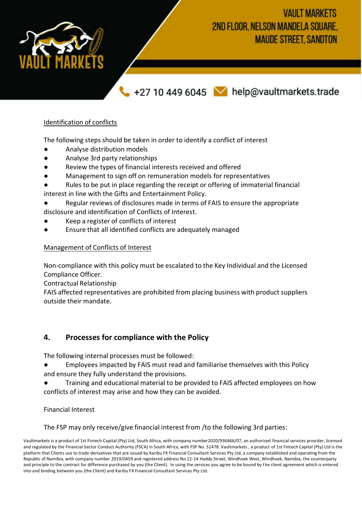**VAULT MARKETS** 2ND FLOOR, NELSON MANDELA SQUARE. **MAUDE STREET, SANDTON** 



# +27 10 449 6045 M help@vaultmarkets.trade

## Identification of conflicts

The following steps should be taken in order to identify a conflict of interest

- Analyse distribution models
- Analyse 3rd party relationships
- Review the types of financial interests received and offered
- Management to sign off on remuneration models for representatives
- Rules to be put in place regarding the receipt or offering of immaterial financial interest in line with the Gifts and Entertainment Policy.
- Regular reviews of disclosures made in terms of FAIS to ensure the appropriate
- disclosure and identification of Conflicts of Interest.
- Keep a register of conflicts of interest
- Ensure that all identified conflicts are adequately managed

### Management of Conflicts of Interest

Non-compliance with this policy must be escalated to the Key Individual and the Licensed Compliance Officer.

Contractual Relationship

FAIS affected representatives are prohibited from placing business with product suppliers outside their mandate.

## **4. Processes for compliance with the Policy**

The following internal processes must be followed:

- Employees impacted by FAIS must read and familiarise themselves with this Policy and ensure they fully understand the provisions.
- Training and educational material to be provided to FAIS affected employees on how conflicts of interest may arise and how they can be avoided.

Financial Interest

The FSP may only receive/give financial interest from /to the following 3rd parties: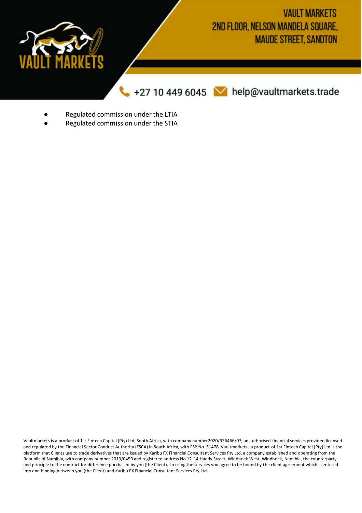

- Regulated commission under the LTIA
- Regulated commission under the STIA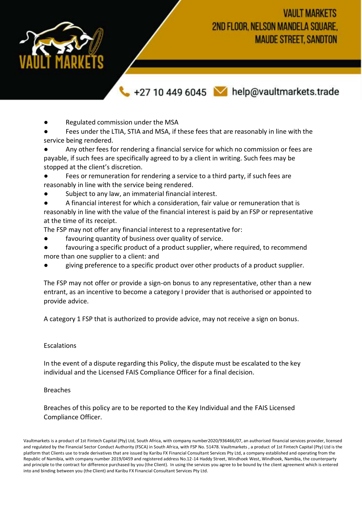**VAULT MARKETS** 2ND FLOOR, NELSON MANDELA SQUARE. **MAUDE STREET, SANDTON** 



+27 10 449 6045 M help@vaultmarkets.trade

Regulated commission under the MSA

Fees under the LTIA, STIA and MSA, if these fees that are reasonably in line with the service being rendered.

Any other fees for rendering a financial service for which no commission or fees are payable, if such fees are specifically agreed to by a client in writing. Such fees may be stopped at the client's discretion.

Fees or remuneration for rendering a service to a third party, if such fees are reasonably in line with the service being rendered.

Subject to any law, an immaterial financial interest.

A financial interest for which a consideration, fair value or remuneration that is reasonably in line with the value of the financial interest is paid by an FSP or representative at the time of its receipt.

The FSP may not offer any financial interest to a representative for:

- favouring quantity of business over quality of service.
- favouring a specific product of a product supplier, where required, to recommend more than one supplier to a client: and
- giving preference to a specific product over other products of a product supplier.

The FSP may not offer or provide a sign-on bonus to any representative, other than a new entrant, as an incentive to become a category I provider that is authorised or appointed to provide advice.

A category 1 FSP that is authorized to provide advice, may not receive a sign on bonus.

#### Escalations

In the event of a dispute regarding this Policy, the dispute must be escalated to the key individual and the Licensed FAIS Compliance Officer for a final decision.

#### Breaches

Breaches of this policy are to be reported to the Key Individual and the FAIS Licensed Compliance Officer.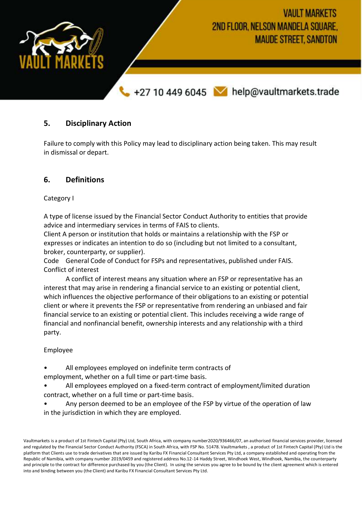

## **5. Disciplinary Action**

Failure to comply with this Policy may lead to disciplinary action being taken. This may result in dismissal or depart.

## **6. Definitions**

Category I

A type of license issued by the Financial Sector Conduct Authority to entities that provide advice and intermediary services in terms of FAIS to clients.

Client A person or institution that holds or maintains a relationship with the FSP or expresses or indicates an intention to do so (including but not limited to a consultant, broker, counterparty, or supplier).

Code General Code of Conduct for FSPs and representatives, published under FAIS. Conflict of interest

A conflict of interest means any situation where an FSP or representative has an interest that may arise in rendering a financial service to an existing or potential client, which influences the objective performance of their obligations to an existing or potential client or where it prevents the FSP or representative from rendering an unbiased and fair financial service to an existing or potential client. This includes receiving a wide range of financial and nonfinancial benefit, ownership interests and any relationship with a third party.

### Employee

- All employees employed on indefinite term contracts of employment, whether on a full time or part-time basis.
- All employees employed on a fixed-term contract of employment/limited duration contract, whether on a full time or part-time basis.
- Any person deemed to be an employee of the FSP by virtue of the operation of law in the jurisdiction in which they are employed.

Vaultmarkets is a product of 1st Fintech Capital (Pty) Ltd, South Africa, with company number2020/936466/07, an authorised financial services provider, licensed and regulated by the Financial Sector Conduct Authority (FSCA) in South Africa, with FSP No. 51478. Vaultmarkets , a product of 1st Fintech Capital (Pty) Ltd is the platform that Clients use to trade derivatives that are issued by Karibu FX Financial Consultant Services Pty Ltd, a company established and operating from the Republic of Namibia, with company number 2019/0459 and registered address No.12-14 Haddy Street, Windhoek West, Windhoek, Namibia, the counterparty and principle to the contract for difference purchased by you (the Client). In using the services you agree to be bound by the client agreement which is entered into and binding between you (the Client) and Karibu FX Financial Consultant Services Pty Ltd.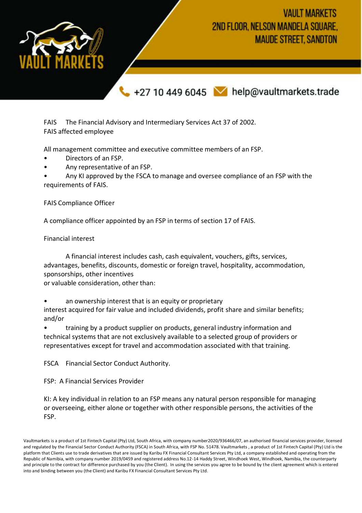**VAULT MARKETS** 2ND FLOOR, NELSON MANDELA SOUARE. **MAUDE STREET, SANDTON** 



+27 10 449 6045 M help@vaultmarkets.trade

FAIS The Financial Advisory and Intermediary Services Act 37 of 2002. FAIS affected employee

All management committee and executive committee members of an FSP.

- Directors of an FSP.
- Any representative of an FSP.

• Any KI approved by the FSCA to manage and oversee compliance of an FSP with the requirements of FAIS.

FAIS Compliance Officer

A compliance officer appointed by an FSP in terms of section 17 of FAIS.

Financial interest

A financial interest includes cash, cash equivalent, vouchers, gifts, services, advantages, benefits, discounts, domestic or foreign travel, hospitality, accommodation, sponsorships, other incentives

or valuable consideration, other than:

an ownership interest that is an equity or proprietary interest acquired for fair value and included dividends, profit share and similar benefits; and/or

• training by a product supplier on products, general industry information and technical systems that are not exclusively available to a selected group of providers or representatives except for travel and accommodation associated with that training.

FSCA Financial Sector Conduct Authority.

FSP: A Financial Services Provider

KI: A key individual in relation to an FSP means any natural person responsible for managing or overseeing, either alone or together with other responsible persons, the activities of the FSP.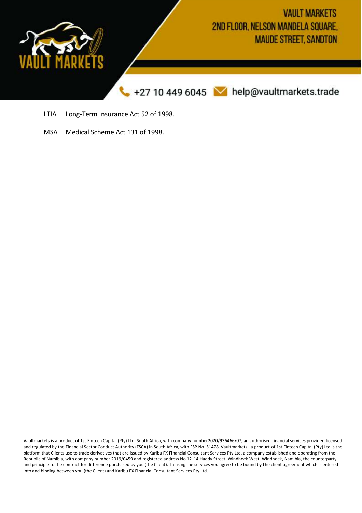

- LTIA Long-Term Insurance Act 52 of 1998.
- MSA Medical Scheme Act 131 of 1998.